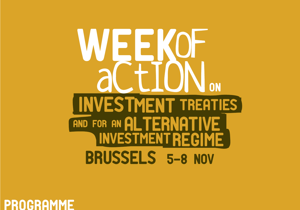# EK **ON** INVESTMENT TREATIES AND FOR AN ALTERNATIVE INVESTMENT REGIME BRUSSELS 5-8 NOV

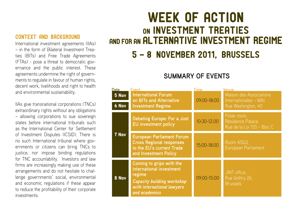# Context and background

International investment agreements (IIAs) – in the form of Bilateral Investment Treaties (BITs) and Free Trade Agreements (FTAs) - pose a threat to democratic governance and the public interest. These agreements undermine the right of governments to regulate in favour of human rights, decent work, livelihoods and right to health and environmental sustainability.

IIAs give transnational corporations (TNCs) extraordinary rights without any obligations – allowing corporations to sue sovereign states before international tribunals such as the International Center for Settlement of Investment Disputes (ICSID). There is no such International tribunal where governments or citizens can bring TNCs to justice, nor impose binding regulations for TNC accountability. Investors and law firms are increasingly making use of these arrangements and do not hesitate to challenge governments' social, environmental and economic regulations if these appear to reduce the profitability of their corporate investments.

# WEEK OF ACTION on Investment Treaties AND FOR AN ALTERNATIVE INVESTMENT REGIME

# 5 - 8 November 2011, Brussels

# **SUMMARY OF EVENTS**

| <b>Date</b>    | Event                                                                                                                                              | Time            | Venue                                                                   |
|----------------|----------------------------------------------------------------------------------------------------------------------------------------------------|-----------------|-------------------------------------------------------------------------|
| 5 Nov<br>6 Nov | <b>International Forum</b><br>on BITs and Alternative<br><b>Investment Regime</b>                                                                  | $09:00 - 18:00$ | Maison des Associations<br>Internationales - MAI.<br>Rue Washington, 40 |
| 7 Nov          | Debating Europe: For a Just<br>EU investment policy                                                                                                | $10:30 - 12.00$ | Polak room.<br>Résidence Palace.<br>Rue de la Loi 155 - Bloc C          |
|                | <b>European Parliament Forum</b><br><b>Cross Regional responses</b><br>to the EU's current Trade<br>and Investment Policy                          | $15:00 - 18:00$ | Room A5G3.<br>European Parliament                                       |
| 8 Nov          | Coming to grips with the<br>international investment<br>regime<br><b>Capacity building workshop</b><br>with international lawyers<br>and academics | 09:00-15:00     | JINT office,<br>Rue Grétry 26,<br><b>Brussels</b>                       |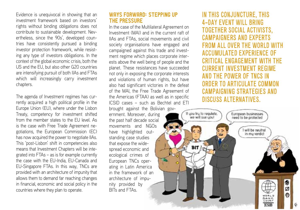Evidence is unequivocal in showing that an investment framework based on investors' rights without binding obligations does not contribute to sustainable development. Nevertheless, since the 90s', developed countries have consistently pursued a binding investor protection framework, while resisting any type of investors obligations. In the context of the global economic crisis, both the US and the EU, but also other G20 countries are intensifying pursuit of both IIAs and FTAs which will increasingly carry investment chapters.

The agenda of Investment regimes has currently acquired a high political profile in the Europe Union (EU), where under the Lisbon Treaty, competency for investment shifted from the member states to the EU level. As is the case with Free Trade Agreement negotiations, the European Commission (EC) has now acquired the power to negotiate IIAs. This 'post-Lisbon' shift in competencies also means that Investment Chapters will be integrated into FTAs – as is for example currently the case with the EU-India, EU-Canada and EU-Singapore FTAs. In this way, TNCs are provided with an architecture of impunity that allows them to demand far reaching changes in financial, economic and social policy in the countries where they plan to operate.

### Ways Forward: stepping up the pressure

In the case of the Multilateral Agreement on Investment (MAI) and in the current raft of IIAs and FTAs, social movements and civil society organisations have engaged and campaigned against this trade and investment regime which places corporate interests above the well being of people and the planet. These resistances have succeeded not only in exposing the corporate interests and violations of human rights, but have also had significant victories in the defeat of the MAI, the Free Trade Agreement of the Americas (FTAA) as well as in specific ICSID cases – such as Bechtel and ETI

brought against the Bolivian government. Moreover, during the past half decade social movements and NGOs have highlighted outstanding case studies that expose the widespread economic and ecological crimes of European TNCs operating in Latin America in the framework of an architecture of impunity provided by BITs and FTAs.

In this conjuncture, this 4-day event will bring together social activists, campaigners and experts from all over the world with accumulated experience of critical engagement with the current investment regime and the power of TNCs in order to articulate common campaigning strategies and discuss alternatives.

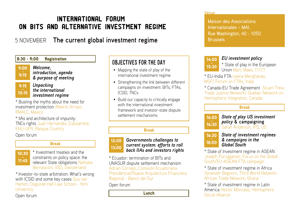# International Forum on BITs and Alternative Investment Regime

# 5 NOVEMBER **The current global investment regime**



*\** Investor-to-state arbitration: What's wrong with ICSID and some key cases Gus van Harten, Osgoode Hall Law School - York **University** 

Open forum

# OBJECTIVES FOR THE DAY

- Mapping the state of play of the international investment regime
- Strengthening the link between different campaigns on investment: BITs, FTAs, ICSID, TNCs
- • Build our capacity to critically engage with the international investment framework and investor-state dispute settlement mechanisms

### Break



### *Governments challenges to current system: efforts to roll back IIAs and investors rights*

\* Ecuador: termination of BITs and UNASUR dispute settlement mechanism Adrian Cornejo, Comisión Ecuatoriana Presidencial/Nueva Arquitectura Financiera Regional - Banco del Sur

Open forum

### Venue

Maison des Associations Internationales – MAI. Rue Washington, 40 - 1050 Brussels

| 14:00 | <b>EU</b> investn           |
|-------|-----------------------------|
| 15:30 | * State of pl<br>Union Marc |
|       |                             |

### *EU investment policy*

lay in the European Maes, 111111

\* EU-India FTA Leena Menghaney, MSF/ Forum on FTAs, India

\* Canada-EU Trade Agreement Stuart Trew, Trade Justice Network/ Quebec Network on Hemispheric Integration, Canada

### Break

 $16:00$ <br> $16:30$ *State of play US investment policy* **& campaigning**  Sarah Anderson, IPS, US



*State of investment regimes & campaigns in the Global South*

\* State of Investment regime in ASEAN Joseph Purugganan, Focus on the Global South/EU-ASEAN FTA campaign

\* State of investment regime in Africa Sylvester Bagooro, Third World Network-African Trade Network, Ghana

\* State of investment regime in Latin America Hector Moncayo, Hemispheric **Lunch Exercise Lunch Exercise Alliance**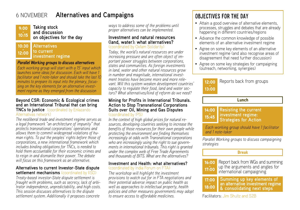# 6 NOVEMBER **Alternatives and Campaigns**

#### $9:00$ <br>10:15 **Taking stock and discussion on objectives for the day**

#### **Alternatives to current investment regime** 10:30<br>12:00

### *Parallel Working groups to discuss alternatives*

*Each working group will start with a 15' input which launches some ideas for discussion. Each will have 1 facilitator and 1 note-taker and should take the last 10 minutes to prepare its input into the plenary, focussing on the key elements for an alternative investment regime as they emerged from the discussion*

### **Beyond CSR: Economic & Ecological crimes and an International Tribunal that can bring TNCs to justice** (coordinated by Enlazando Alternativas network)

*The neoliberal trade and investment regime serves as a legal framework "an architecture of impunity" that protects transnational corporations' operations and allows them to commit widespread violations of human rights. To put the peoples' rights before those of corporations, a new international framework which includes binding obligations for TNCs, is needed to hold them accountable for their economic crimes and to reign in and dismantle their power. The debate will focus on this framework as an alternative.*

### **Alternatives to current Investor-State dispute settlement mechanisms** (coordinated by IISD)

*Treaty-based investor-State dispute settlement is fraught with problems, such as secrecy, lack of arbitrator independence, unpredictability, and high costs. This session discusses alternatives to the dispute settlement system. Additionally it proposes concrete* 

*ways to address some of the problems until proper alternatives can be implemented.*

### **Investment and natural resources (land, water): what alternatives?** (coordinated by Oxfam Solidarity)

*Today, the world's natural resources are under increasing pressure and are often object of important power struggles between corporations, states and communities. As foreign investments in land, water and other natural resources grow in number and magnitude, international investment treaties have become more and more relevant. Will this system weaken development countries' capacity to regulate their food, land and water sectors? What alternatives/kind of reform do we need?*

### **Mining for Profits in International Tribunals. Action to Stop Transnational Corporations Suits over Oil, Mining and Gas Disputes** (coordinated by IPS)

*In the context of high global prices for natural resources, developing countries seeking to increase the benefits of those resources for their own people while protecting the environment are finding themselves increasingly at odds with Transnational corporations who are increasingly using the right to sue governments in international tribunals. This right is granted under the complex web of Free Trade Agreements and thousands of BITS. What are the alternatives?* 

### **Investment and Health: what alternatives?** (coordinated by India Forum on FTA)

*The workshop will highlight the investment provisions to watch out for in FTA negotiations and their potential adverse impact on public health as well as approaches to intellectual property, health policies and other measures governments may adopt to ensure access to affordable medicines.*

# OBJECTIVES FOR THE DAY

- Attain a good overview of alternative elements, processes, struggles and debates that are already happening in different countries/regions
- Advance the common knowledge of possible elements of an alternative investment regime
- • Agree on some key elements of an alternative investment regime (and also recognise areas of disagreement that need further discussion)
- Agree on some key strategies for campaigning (outreach, networking, synergies)



### Lunch

#### **Resisting the current investment regime: Strategies for Action** 14:00<br>15:45

*Each working group should have 1 facilitator and 1 note-taker*

*Parallel Working groups to discuss campaigning strategies*

### Break



Report back from WGs and summing up the arguments and angles for international campaigning

17:00<br>18:00 **Summing up key elements of an alternative investment regime & consolidating next steps** 

Facilitators: Jim Shultz and S2B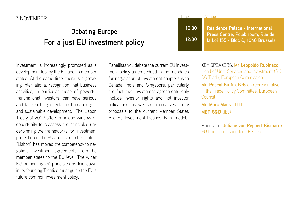# 7 NOVEMBER

# **Debating Europe For a just EU investment policy**

Investment is increasingly promoted as a development tool by the EU and its member states. At the same time, there is a growing international recognition that business activities, in particular those of powerful transnational investors, can have serious and far-reaching effects on human rights and sustainable development. The Lisbon Treaty of 2009 offers a unique window of opportunity to reassess the principles underpinning the frameworks for investment protection of the EU and its member states. "Lisbon" has moved the competency to negotiate investment agreements from the member states to the EU level. The wider EU human rights' principles as laid down in its founding Treaties must guide the EU's future common investment policy.

Panellists will debate the current EU investment policy as embedded in the mandates for negotiation of investment chapters with Canada, India and Singapore, particularly the fact that investment agreements only include investor rights and not investor obligations; as well as alternatives policy proposals to the current Member States Bilateral Investment Treaties (BITs) model.

| ime            | Venuel                                                                                                     |
|----------------|------------------------------------------------------------------------------------------------------------|
| 10:30<br>12:00 | Résidence Palace - International<br>Press Centre, Polak room, Rue de<br>la Loi 155 - Bloc C, 1040 Brussels |

KEY SPEAKERS: **Mr Leopoldo Rubinacci**, Head of Unit, Services and investment (B1), DG Trade, European Commission **Mr. Pascal Buffin**, Belgian representative in the Trade Policy Committee, European Council **Mr. Marc Maes**, 11.11.11 **MEP S&D** (the)

Moderator: **Juliane von Reppert Bismarck**, EU trade correspondent, Reuters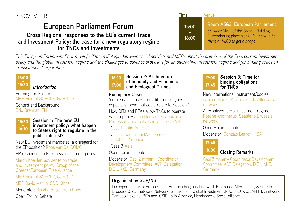# **European Parliament Forum Cross Regional responses to the EU's current Trade**

**and Investment Policy: the case for a new regulatory regime for TNCs and Investments**

| <b>Lime</b>    | Venue                                                                                                                                                |
|----------------|------------------------------------------------------------------------------------------------------------------------------------------------------|
| 15:00<br>18:00 | Room A5G3, European Parliament<br>entrance MAIL of the Spinelli Building<br>(Luxembourg place side). You need to be<br>there at 14:00 to get a badge |

*This European Parliament Forum will facilitate a dialogue between social activists and MEPs about the premises of the EU's current investment policy and the global investment regime and the challenges to advance proposals for an alternative investment regime and for binding codes on Transnational Corporations.* 

# 15:00<br>15:20

*Introduction*

Framing the Forum MEP Helmut SCHOLZ, GUE-NLG

Context and Background Brid Brennan, TNI



### **Session 1: The new EU investment policy: what happen to States right to regulate in the public interest?**

New EU investment mandates: a disregard for the EP position? Roos van Os, SOMO

EP responses to EU's new investment policy

Martin Koehler, adviser to on trade and investment policy, Group of the Greens/European Free Alliance MEP Helmut SCHOLZ, GUE-NLG MEP David Martin, S&D (tbc) Moderator: Burghard Ilge, Both Ends Open Forum Debate



### **Session 2: Architecture of Impunity and Economic and Ecological Crimes**

# **Exemplary Cases**

'emblematic' cases from different regions – especially those that could relate to Session 1 How BITs and FTAs allow TNCs to operate with impunity Juan Hernandez Zubizarreta Professor Uniiversity País Vasco -UPV-EHU

Case 1 Latin America

Case 2 Rangarirai Machemedze, SEATINI, Zimbawe

Case 3 Asia

Open Forum Debate

Moderator: Gabi Zimmer – Coordinator Development Committee, ACP Delegation, DIE LINKE, Germany

# **Organised by GUE/NGL**



New International Instrument/bodies Alfonso Moro, FAL/Enlazando Alternativas ntework

Alternatives to EU investment regime Roeline Knottnerus, Seattle to Brussels network

Open Forum Debate

Moderator: Gonzalo Berron, HSA



# **Closing Remarks**

Gabi Zimmer – Coordinator Development Committee, ACP Delegation, DIE LINKE, Germany

In cooperation with: Europe-Latin America biregional network Enlazando Alternativas, Seattle to Brussels (S2B) network, Network for Justice in Global Investment (NJGI), EU-ASEAN FTA network, Campaign against BITs and ICSID Latin America, Hemispheric Social Alliance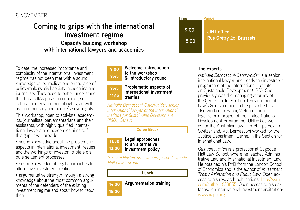# 8 NOVEMBER

# **Coming to grips with the international investment regime Capacity building workshop with international lawyers and academics**

To date, the increased importance and complexity of the international investment regime has not been met with a sound knowledge of its implications on the side of policy-makers, civil society, academics and journalists. They need to better understand the threats IIAs pose to economic, social, cultural and environmental rights, as well as to democracy and people's sovereignty.

This workshop, open to activists, academics, journalists, parliamentarians and their assistants, with highly qualified international lawyers and academics aims to fill this gap. It will provide:

• sound knowledge about the problematic aspects in international investment treaties and the workings of investor-to-state dispute settlement processes;

• sound knowledge of legal approaches to alternative investment treaties;

• argumentative strength through a strong knowledge about the most common arguments of the defenders of the existing investment regime and about how to rebut them.



# 9:45 - 11:15

**Problematic aspects of international investment treaties**

**Welcome, introduction to the workshop & introductory round**

*Nathalie Bernasconi-Osterwalder, senior international lawyer at the International Institute for Sustainable Development (IISD), Geneva*

### Cofee Break



**Legal approaches to an alternative investment policy**

*Gus van Harten, associate professor, Osgoode Hall Law, Toronto*

### Lunch

# 14:00<br>15:00 **Argumentation training**

Time Venue **JINT office, Rue Grétry 26, Brussels 9:00 15:00**

### **The experts**

*Nathalie Bernasconi-Osterwalder* is a senior international lawyer and heads the investment programme of the International Institute on Sustainable Development (IISD). She previously was the managing attorney of the Center for International Environmental Law's Geneva office. In the past she has also worked in Hanoi, Vietnam, for a legal reform project of the United Nations Development Programme (UNDP) as well as for the Australian law firm Phillips Fox. In Switzerland, Ms. Bernasconi worked for the Justice Department, Berne, in the Section for International Law.

*Gus Van Harten* is a professor at Osgoode Hall Law School, where he teaches Administrative Law and International Investment Law. He obtained his PhD from the London School of Economics and is the author of *Investment Treaty Arbitration and Public Law*. Open access to his research publications: [http://ssrn.](http://ssrn.com/author=638855) [com/author=638855.](http://ssrn.com/author=638855) Open access to his database on international investment arbitration: [www.iiapp.org](http://www.iiapp.org).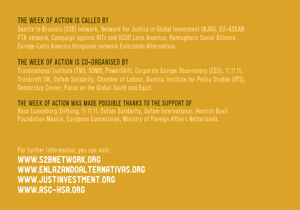# The Week of Action is called by

Seattle to Brussels (S2B) network, Network for Justice in Global Investment (NJGI), EU-ASEAN FTA network, Campaign against BITs and ICSID Latin America, Hemispheric Social Alliance, Europe-Latin America biregional network Enlazando Alternativas

# The Week of Action is co-organised by

Transnational Institute (TNI), SOMO, PowerShift, Corporate Europe Observatory (CEO), 11.11.11, Traidcraft UK, Oxfam Solidarity, Chamber of Labour, Austria, Institute for Policy Studies (IPS), Democracy Center, Focus on the Global South and Equit.

# The Week of Action was made possible thanks to the support of

Rosa Luxemburg Stiftung, 11.11.11, Oxfam Solidarity, Oxfam International, Henrich Boell Foundation Mexico, European Commission, Ministry of Foreign Affairs Netherlands.

For further information, you can visit: [www.s2bnetwork.org](http://www.s2bnetwork.org) [www.enlazandoalternativas.org](http://www.enlazandoalternativas.org) [www.justinvestment.org](http://www.justinvestment.org) [www.asc-hsa.org](http://www.asc-hsa.org)